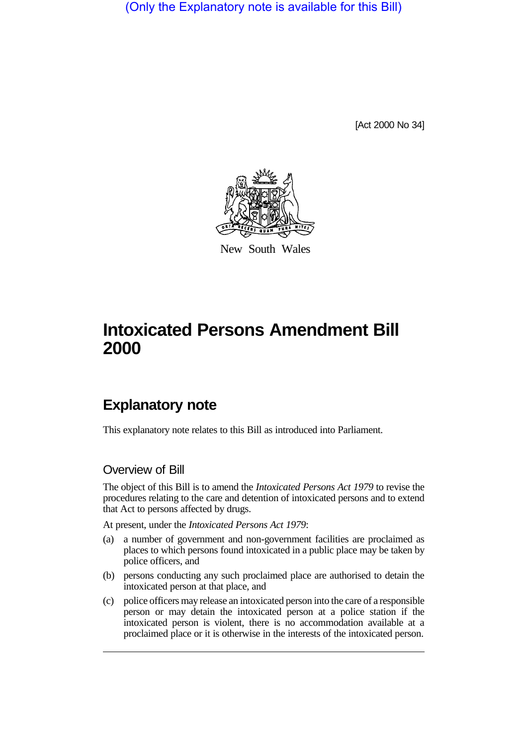(Only the Explanatory note is available for this Bill)

[Act 2000 No 34]



New South Wales

## **Intoxicated Persons Amendment Bill 2000**

## **Explanatory note**

This explanatory note relates to this Bill as introduced into Parliament.

## Overview of Bill

The object of this Bill is to amend the *Intoxicated Persons Act 1979* to revise the procedures relating to the care and detention of intoxicated persons and to extend that Act to persons affected by drugs.

At present, under the *Intoxicated Persons Act 1979*:

- (a) a number of government and non-government facilities are proclaimed as places to which persons found intoxicated in a public place may be taken by police officers, and
- (b) persons conducting any such proclaimed place are authorised to detain the intoxicated person at that place, and
- (c) police officers may release an intoxicated person into the care of a responsible person or may detain the intoxicated person at a police station if the intoxicated person is violent, there is no accommodation available at a proclaimed place or it is otherwise in the interests of the intoxicated person.